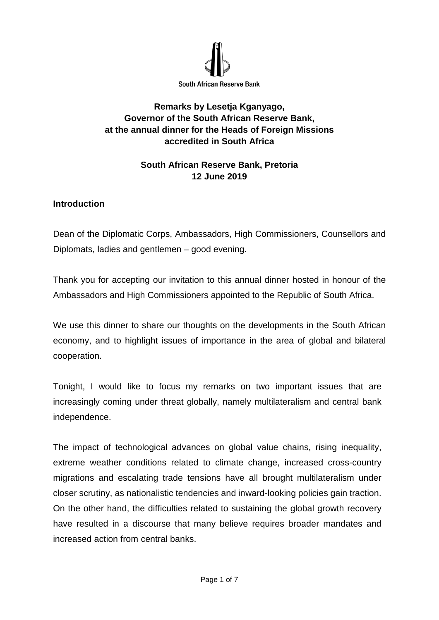

## **Remarks by Lesetja Kganyago, Governor of the South African Reserve Bank, at the annual dinner for the Heads of Foreign Missions accredited in South Africa**

# **South African Reserve Bank, Pretoria 12 June 2019**

### **Introduction**

Dean of the Diplomatic Corps, Ambassadors, High Commissioners, Counsellors and Diplomats, ladies and gentlemen – good evening.

Thank you for accepting our invitation to this annual dinner hosted in honour of the Ambassadors and High Commissioners appointed to the Republic of South Africa.

We use this dinner to share our thoughts on the developments in the South African economy, and to highlight issues of importance in the area of global and bilateral cooperation.

Tonight, I would like to focus my remarks on two important issues that are increasingly coming under threat globally, namely multilateralism and central bank independence.

The impact of technological advances on global value chains, rising inequality, extreme weather conditions related to climate change, increased cross-country migrations and escalating trade tensions have all brought multilateralism under closer scrutiny, as nationalistic tendencies and inward-looking policies gain traction. On the other hand, the difficulties related to sustaining the global growth recovery have resulted in a discourse that many believe requires broader mandates and increased action from central banks.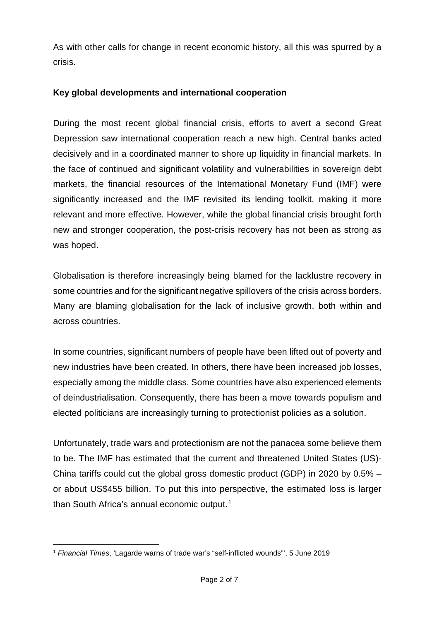As with other calls for change in recent economic history, all this was spurred by a crisis.

#### **Key global developments and international cooperation**

During the most recent global financial crisis, efforts to avert a second Great Depression saw international cooperation reach a new high. Central banks acted decisively and in a coordinated manner to shore up liquidity in financial markets. In the face of continued and significant volatility and vulnerabilities in sovereign debt markets, the financial resources of the International Monetary Fund (IMF) were significantly increased and the IMF revisited its lending toolkit, making it more relevant and more effective. However, while the global financial crisis brought forth new and stronger cooperation, the post-crisis recovery has not been as strong as was hoped.

Globalisation is therefore increasingly being blamed for the lacklustre recovery in some countries and for the significant negative spillovers of the crisis across borders. Many are blaming globalisation for the lack of inclusive growth, both within and across countries.

In some countries, significant numbers of people have been lifted out of poverty and new industries have been created. In others, there have been increased job losses, especially among the middle class. Some countries have also experienced elements of deindustrialisation. Consequently, there has been a move towards populism and elected politicians are increasingly turning to protectionist policies as a solution.

Unfortunately, trade wars and protectionism are not the panacea some believe them to be. The IMF has estimated that the current and threatened United States (US)- China tariffs could cut the global gross domestic product (GDP) in 2020 by 0.5% – or about US\$455 billion. To put this into perspective, the estimated loss is larger than South Africa's annual economic output.<sup>[1](#page-1-0)</sup>

<span id="page-1-0"></span><sup>&</sup>lt;u>.</u> <sup>1</sup> *Financial Times*, 'Lagarde warns of trade war's "self-inflicted wounds"', 5 June 2019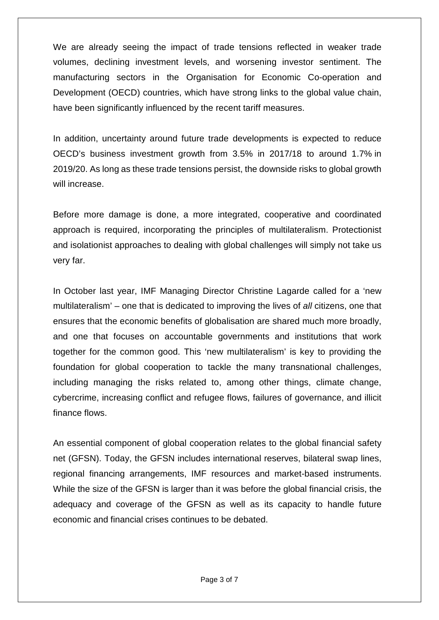We are already seeing the impact of trade tensions reflected in weaker trade volumes, declining investment levels, and worsening investor sentiment. The manufacturing sectors in the Organisation for Economic Co-operation and Development (OECD) countries, which have strong links to the global value chain, have been significantly influenced by the recent tariff measures.

In addition, uncertainty around future trade developments is expected to reduce OECD's business investment growth from 3.5% in 2017/18 to around 1.7% in 2019/20. As long as these trade tensions persist, the downside risks to global growth will increase.

Before more damage is done, a more integrated, cooperative and coordinated approach is required, incorporating the principles of multilateralism. Protectionist and isolationist approaches to dealing with global challenges will simply not take us very far.

In October last year, IMF Managing Director Christine Lagarde called for a 'new multilateralism' – one that is dedicated to improving the lives of *all* citizens, one that ensures that the economic benefits of globalisation are shared much more broadly, and one that focuses on accountable governments and institutions that work together for the common good. This 'new multilateralism' is key to providing the foundation for global cooperation to tackle the many transnational challenges, including managing the risks related to, among other things, climate change, cybercrime, increasing conflict and refugee flows, failures of governance, and illicit finance flows.

An essential component of global cooperation relates to the global financial safety net (GFSN). Today, the GFSN includes international reserves, bilateral swap lines, regional financing arrangements, IMF resources and market-based instruments. While the size of the GFSN is larger than it was before the global financial crisis, the adequacy and coverage of the GFSN as well as its capacity to handle future economic and financial crises continues to be debated.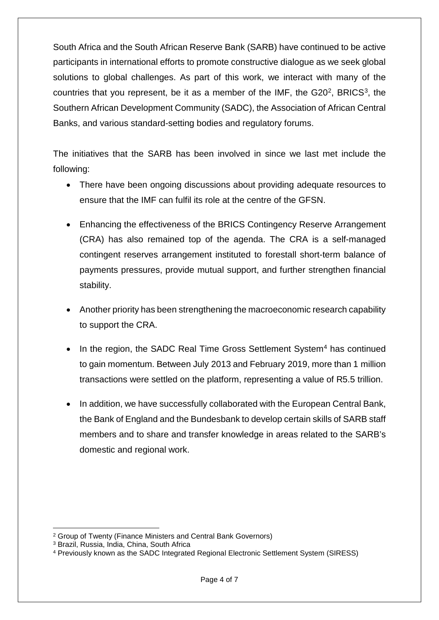South Africa and the South African Reserve Bank (SARB) have continued to be active participants in international efforts to promote constructive dialogue as we seek global solutions to global challenges. As part of this work, we interact with many of the countries that you represent, be it as a member of the IMF, the  $G20<sup>2</sup>$ , BRICS<sup>3</sup>, the Southern African Development Community (SADC), the Association of African Central Banks, and various standard-setting bodies and regulatory forums.

The initiatives that the SARB has been involved in since we last met include the following:

- There have been ongoing discussions about providing adequate resources to ensure that the IMF can fulfil its role at the centre of the GFSN.
- Enhancing the effectiveness of the BRICS Contingency Reserve Arrangement (CRA) has also remained top of the agenda. The CRA is a self-managed contingent reserves arrangement instituted to forestall short-term balance of payments pressures, provide mutual support, and further strengthen financial stability.
- Another priority has been strengthening the macroeconomic research capability to support the CRA.
- In the region, the SADC Real Time Gross Settlement System<sup>[4](#page-3-2)</sup> has continued to gain momentum. Between July 2013 and February 2019, more than 1 million transactions were settled on the platform, representing a value of R5.5 trillion.
- In addition, we have successfully collaborated with the European Central Bank, the Bank of England and the Bundesbank to develop certain skills of SARB staff members and to share and transfer knowledge in areas related to the SARB's domestic and regional work.

**.** 

<span id="page-3-0"></span><sup>2</sup> Group of Twenty (Finance Ministers and Central Bank Governors)

<span id="page-3-1"></span><sup>3</sup> Brazil, Russia, India, China, South Africa

<span id="page-3-2"></span><sup>4</sup> Previously known as the SADC Integrated Regional Electronic Settlement System (SIRESS)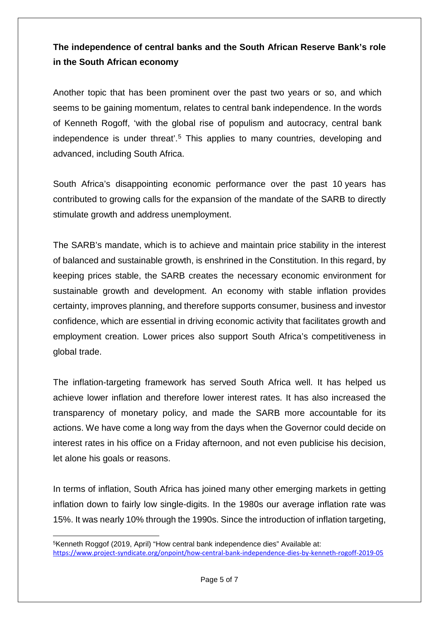# **The independence of central banks and the South African Reserve Bank's role in the South African economy**

Another topic that has been prominent over the past two years or so, and which seems to be gaining momentum, relates to central bank independence. In the words of Kenneth Rogoff, 'with the global rise of populism and autocracy, central bank independence is under threat'. [5](#page-4-0) This applies to many countries, developing and advanced, including South Africa.

South Africa's disappointing economic performance over the past 10 years has contributed to growing calls for the expansion of the mandate of the SARB to directly stimulate growth and address unemployment.

The SARB's mandate, which is to achieve and maintain price stability in the interest of balanced and sustainable growth, is enshrined in the Constitution. In this regard, by keeping prices stable, the SARB creates the necessary economic environment for sustainable growth and development. An economy with stable inflation provides certainty, improves planning, and therefore supports consumer, business and investor confidence, which are essential in driving economic activity that facilitates growth and employment creation. Lower prices also support South Africa's competitiveness in global trade.

The inflation-targeting framework has served South Africa well. It has helped us achieve lower inflation and therefore lower interest rates. It has also increased the transparency of monetary policy, and made the SARB more accountable for its actions. We have come a long way from the days when the Governor could decide on interest rates in his office on a Friday afternoon, and not even publicise his decision, let alone his goals or reasons.

In terms of inflation, South Africa has joined many other emerging markets in getting inflation down to fairly low single-digits. In the 1980s our average inflation rate was 15%. It was nearly 10% through the 1990s. Since the introduction of inflation targeting,

**.** 

<span id="page-4-0"></span><sup>5</sup>Kenneth Roggof (2019, April) "How central bank independence dies" Available at: <https://www.project-syndicate.org/onpoint/how-central-bank-independence-dies-by-kenneth-rogoff-2019-05>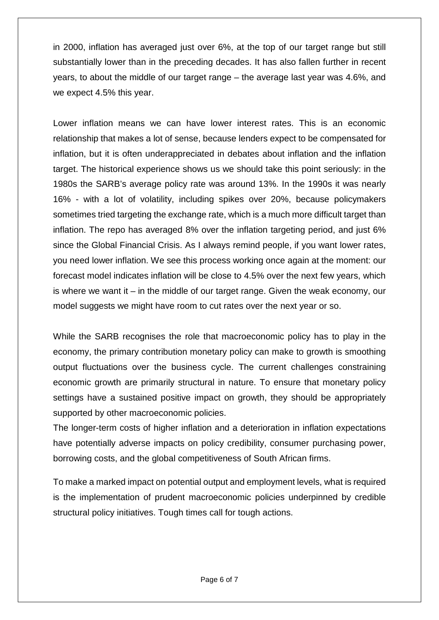in 2000, inflation has averaged just over 6%, at the top of our target range but still substantially lower than in the preceding decades. It has also fallen further in recent years, to about the middle of our target range – the average last year was 4.6%, and we expect 4.5% this year.

Lower inflation means we can have lower interest rates. This is an economic relationship that makes a lot of sense, because lenders expect to be compensated for inflation, but it is often underappreciated in debates about inflation and the inflation target. The historical experience shows us we should take this point seriously: in the 1980s the SARB's average policy rate was around 13%. In the 1990s it was nearly 16% - with a lot of volatility, including spikes over 20%, because policymakers sometimes tried targeting the exchange rate, which is a much more difficult target than inflation. The repo has averaged 8% over the inflation targeting period, and just 6% since the Global Financial Crisis. As I always remind people, if you want lower rates, you need lower inflation. We see this process working once again at the moment: our forecast model indicates inflation will be close to 4.5% over the next few years, which is where we want it – in the middle of our target range. Given the weak economy, our model suggests we might have room to cut rates over the next year or so.

While the SARB recognises the role that macroeconomic policy has to play in the economy, the primary contribution monetary policy can make to growth is smoothing output fluctuations over the business cycle. The current challenges constraining economic growth are primarily structural in nature. To ensure that monetary policy settings have a sustained positive impact on growth, they should be appropriately supported by other macroeconomic policies.

The longer-term costs of higher inflation and a deterioration in inflation expectations have potentially adverse impacts on policy credibility, consumer purchasing power, borrowing costs, and the global competitiveness of South African firms.

To make a marked impact on potential output and employment levels, what is required is the implementation of prudent macroeconomic policies underpinned by credible structural policy initiatives. Tough times call for tough actions.